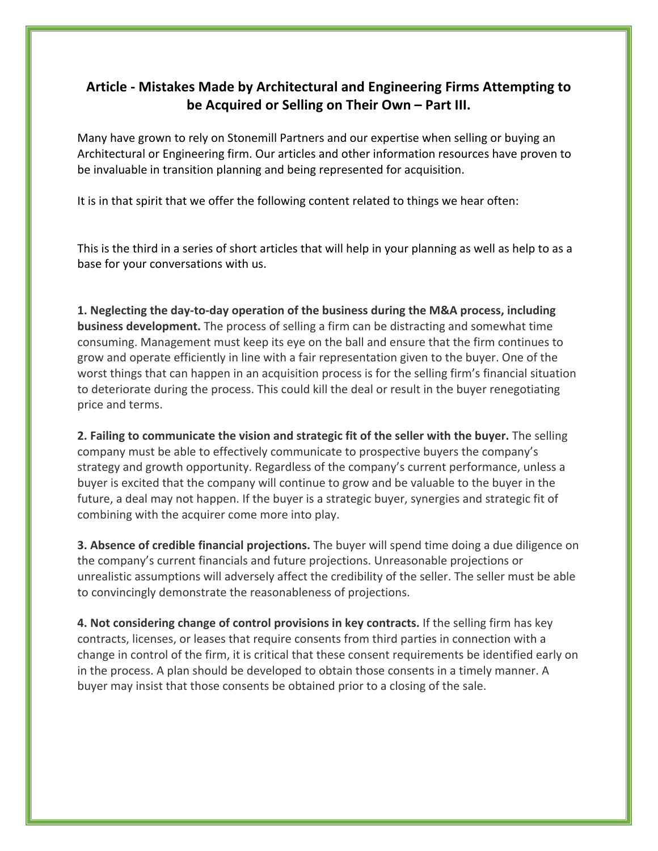## **Article - Mistakes Made by Architectural and Engineering Firms Attempting to be Acquired or Selling on Their Own – Part III.**

Many have grown to rely on Stonemill Partners and our expertise when selling or buying an Architectural or Engineering firm. Our articles and other information resources have proven to be invaluable in transition planning and being represented for acquisition.

It is in that spirit that we offer the following content related to things we hear often:

This is the third in a series of short articles that will help in your planning as well as help to as a base for your conversations with us.

**1. Neglecting the day-to-day operation of the business during the M&A process, including business development.** The process of selling a firm can be distracting and somewhat time consuming. Management must keep its eye on the ball and ensure that the firm continues to grow and operate efficiently in line with a fair representation given to the buyer. One of the worst things that can happen in an acquisition process is for the selling firm's financial situation to deteriorate during the process. This could kill the deal or result in the buyer renegotiating price and terms.

**2. Failing to communicate the vision and strategic fit of the seller with the buyer.** The selling company must be able to effectively communicate to prospective buyers the company's strategy and growth opportunity. Regardless of the company's current performance, unless a buyer is excited that the company will continue to grow and be valuable to the buyer in the future, a deal may not happen. If the buyer is a strategic buyer, synergies and strategic fit of combining with the acquirer come more into play.

**3. Absence of credible financial projections.** The buyer will spend time doing a due diligence on the company's current financials and future projections. Unreasonable projections or unrealistic assumptions will adversely affect the credibility of the seller. The seller must be able to convincingly demonstrate the reasonableness of projections.

**4. Not considering change of control provisions in key contracts.** If the selling firm has key contracts, licenses, or leases that require consents from third parties in connection with a change in control of the firm, it is critical that these consent requirements be identified early on in the process. A plan should be developed to obtain those consents in a timely manner. A buyer may insist that those consents be obtained prior to a closing of the sale.